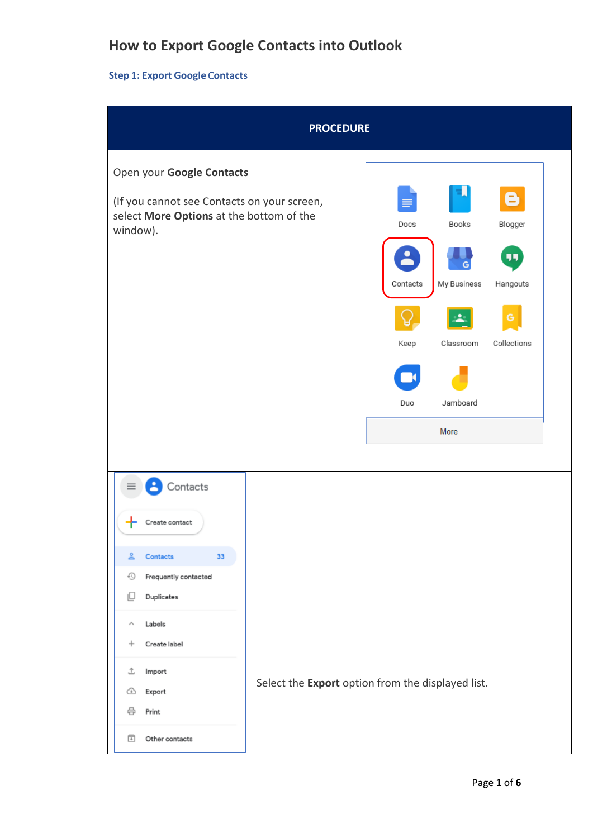# **How to Export Google Contacts into Outlook**

#### **Step 1: Export Google** C**ontacts**

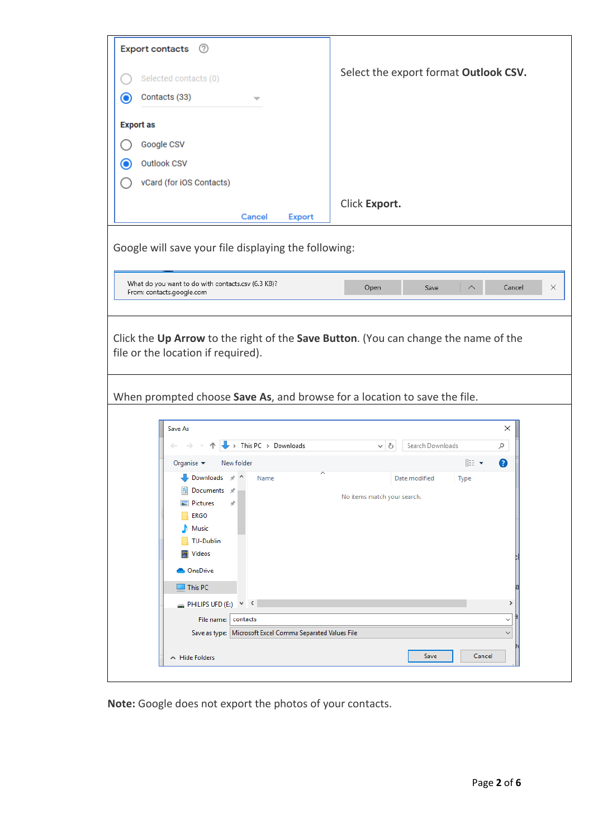| Export contacts 2                                                               |                                                                                                                                                 |               |                                       |  |  |  |  |
|---------------------------------------------------------------------------------|-------------------------------------------------------------------------------------------------------------------------------------------------|---------------|---------------------------------------|--|--|--|--|
| Selected contacts (0)                                                           |                                                                                                                                                 |               | Select the export format Outlook CSV. |  |  |  |  |
| Contacts (33)<br>$\bf O$                                                        |                                                                                                                                                 |               |                                       |  |  |  |  |
| <b>Export as</b>                                                                |                                                                                                                                                 |               |                                       |  |  |  |  |
| Google CSV                                                                      |                                                                                                                                                 |               |                                       |  |  |  |  |
| Outlook CSV<br>$\mathbf{\Theta}$                                                |                                                                                                                                                 |               |                                       |  |  |  |  |
| vCard (for iOS Contacts)                                                        |                                                                                                                                                 |               |                                       |  |  |  |  |
|                                                                                 |                                                                                                                                                 |               |                                       |  |  |  |  |
|                                                                                 | Cancel<br><b>Export</b>                                                                                                                         | Click Export. |                                       |  |  |  |  |
|                                                                                 | Google will save your file displaying the following:                                                                                            |               |                                       |  |  |  |  |
|                                                                                 |                                                                                                                                                 |               |                                       |  |  |  |  |
| What do you want to do with contacts.csv (6.3 KB)?<br>From: contacts.google.com |                                                                                                                                                 | Open          | Cancel<br>×<br>Save                   |  |  |  |  |
|                                                                                 |                                                                                                                                                 |               |                                       |  |  |  |  |
|                                                                                 | When prompted choose Save As, and browse for a location to save the file.                                                                       |               |                                       |  |  |  |  |
|                                                                                 |                                                                                                                                                 |               |                                       |  |  |  |  |
| Save As                                                                         |                                                                                                                                                 |               | ×                                     |  |  |  |  |
|                                                                                 | $\rightarrow$ This PC $\rightarrow$ Downloads                                                                                                   | ৺ এ           | Search Downloads<br>مر                |  |  |  |  |
| Organise $\blacktriangledown$                                                   | New folder                                                                                                                                      |               | 距→<br>◙                               |  |  |  |  |
|                                                                                 | Downloads * ^ Name<br>Date modified<br>Type<br>Documents *<br>No items match your search.<br>Pictures<br>À<br>ERGO<br>Music<br><b>TU-Dublin</b> |               |                                       |  |  |  |  |
|                                                                                 | Videos<br><b>OneDrive</b>                                                                                                                       |               |                                       |  |  |  |  |
|                                                                                 | $\Box$ This PC                                                                                                                                  |               |                                       |  |  |  |  |
|                                                                                 | PHILIPS UFD (E:) $\times$<br>⋗<br>contacts                                                                                                      |               |                                       |  |  |  |  |
|                                                                                 | File name:<br>$\checkmark$<br>Save as type: Microsoft Excel Comma Separated Values File<br>$\checkmark$                                         |               |                                       |  |  |  |  |
|                                                                                 |                                                                                                                                                 |               |                                       |  |  |  |  |
| A Hide Folders                                                                  |                                                                                                                                                 |               | Save<br>Cancel                        |  |  |  |  |
|                                                                                 |                                                                                                                                                 |               |                                       |  |  |  |  |

**Note:** Google does not export the photos of your contacts.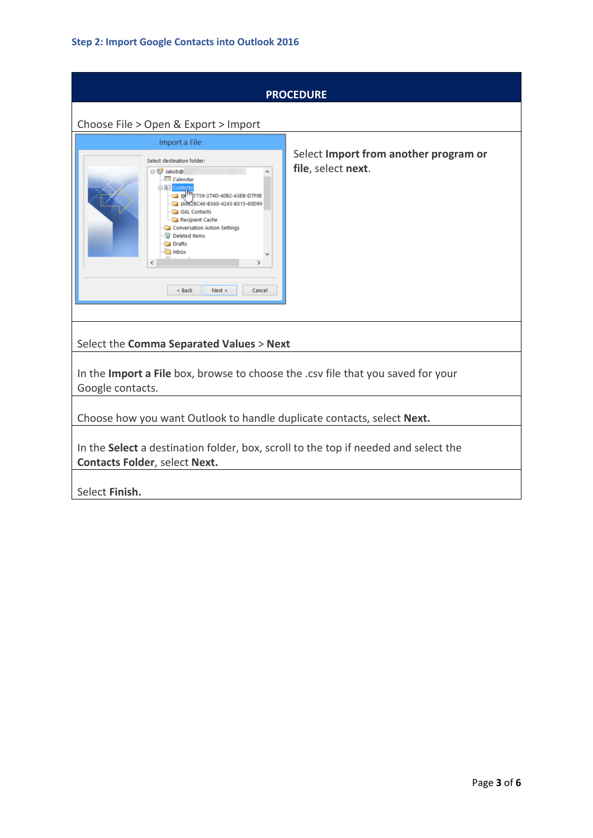| <b>PROCEDURE</b>                                                                                                                                                                                                                                                                                 |                                                             |  |  |  |  |  |  |
|--------------------------------------------------------------------------------------------------------------------------------------------------------------------------------------------------------------------------------------------------------------------------------------------------|-------------------------------------------------------------|--|--|--|--|--|--|
| Choose File > Open & Export > Import                                                                                                                                                                                                                                                             |                                                             |  |  |  |  |  |  |
| Import a File                                                                                                                                                                                                                                                                                    |                                                             |  |  |  |  |  |  |
| Select destination folder:<br>日 <sup>24</sup> Jakob@<br>Calendar<br>白图 Cont<br>E RA 7759-274D-4082-A3EB-D7F9E<br>4 (A9E2BC46-B3A0-4243-B315-60D99)<br>GAL Contacts<br>Recipient Cache<br>Conversation Action Settings<br>a Deleted Items<br><b>Drafts</b><br>a Inbox<br>< Back<br>Next<br>Cancel | Select Import from another program or<br>file, select next. |  |  |  |  |  |  |
| Select the Comma Separated Values > Next                                                                                                                                                                                                                                                         |                                                             |  |  |  |  |  |  |
| In the Import a File box, browse to choose the .csv file that you saved for your<br>Google contacts.                                                                                                                                                                                             |                                                             |  |  |  |  |  |  |
|                                                                                                                                                                                                                                                                                                  |                                                             |  |  |  |  |  |  |
| Choose how you want Outlook to handle duplicate contacts, select Next.                                                                                                                                                                                                                           |                                                             |  |  |  |  |  |  |
| In the Select a destination folder, box, scroll to the top if needed and select the<br><b>Contacts Folder, select Next.</b>                                                                                                                                                                      |                                                             |  |  |  |  |  |  |
| Select Finish.                                                                                                                                                                                                                                                                                   |                                                             |  |  |  |  |  |  |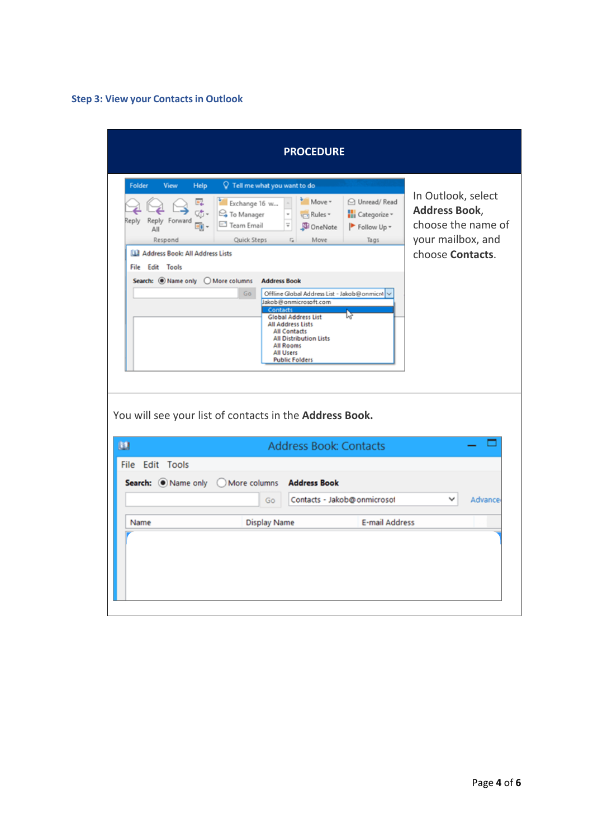## **Step 3: View your Contacts in Outlook**

| <b>PROCEDURE</b>                                                                                                                                                                                                                                                                                                                                                                                                                                                                                                                                                                                                                                                                                                                                                                                                                                                                   |                                                          |                       |  |         |  |  |  |
|------------------------------------------------------------------------------------------------------------------------------------------------------------------------------------------------------------------------------------------------------------------------------------------------------------------------------------------------------------------------------------------------------------------------------------------------------------------------------------------------------------------------------------------------------------------------------------------------------------------------------------------------------------------------------------------------------------------------------------------------------------------------------------------------------------------------------------------------------------------------------------|----------------------------------------------------------|-----------------------|--|---------|--|--|--|
| Folder<br>V Tell me what you want to do<br>View<br>Help<br>In Outlook, select<br>Move -<br>O Unread/Read<br>嘎<br>Exchange 16 w<br><b>Address Book,</b><br>姑.<br>Categorize -<br><sup>2</sup> To Manager<br>$\scriptstyle\rm v$<br><b>Rules</b> *<br>Reply<br>Reply Forward<br>choose the name of<br>Team Email<br>Ψ<br>eg -<br>OneNote<br>Follow Up -<br>All<br>your mailbox, and<br>Respond<br>Quick Steps<br>Move<br>Tags<br>$\overline{\mathsf{F}_\mathsf{M}}$<br>choose Contacts.<br><b>LLI</b> Address Book: All Address Lists<br>File Edit Tools<br>Search: O Name only O More columns<br><b>Address Book</b><br>Go<br>Offline Global Address List - Jakob@onmicr4<br>Jakob@onmicrosoft.com<br>Contacts<br><b>Global Address List</b><br>All Address Lists<br><b>All Contacts</b><br><b>All Distribution Lists</b><br>All Rooms<br><b>All Users</b><br><b>Public Folders</b> |                                                          |                       |  |         |  |  |  |
| You will see your list of contacts in the Address Book.                                                                                                                                                                                                                                                                                                                                                                                                                                                                                                                                                                                                                                                                                                                                                                                                                            |                                                          |                       |  |         |  |  |  |
| œ                                                                                                                                                                                                                                                                                                                                                                                                                                                                                                                                                                                                                                                                                                                                                                                                                                                                                  | <b>Address Book: Contacts</b>                            |                       |  |         |  |  |  |
| <b>File Edit Tools</b><br>Search: O Name only<br>O More columns                                                                                                                                                                                                                                                                                                                                                                                                                                                                                                                                                                                                                                                                                                                                                                                                                    | <b>Address Book</b><br>Contacts - Jakob@onmicrosol<br>Go |                       |  | Advance |  |  |  |
| Name                                                                                                                                                                                                                                                                                                                                                                                                                                                                                                                                                                                                                                                                                                                                                                                                                                                                               | <b>Display Name</b>                                      | <b>E-mail Address</b> |  |         |  |  |  |
|                                                                                                                                                                                                                                                                                                                                                                                                                                                                                                                                                                                                                                                                                                                                                                                                                                                                                    |                                                          |                       |  |         |  |  |  |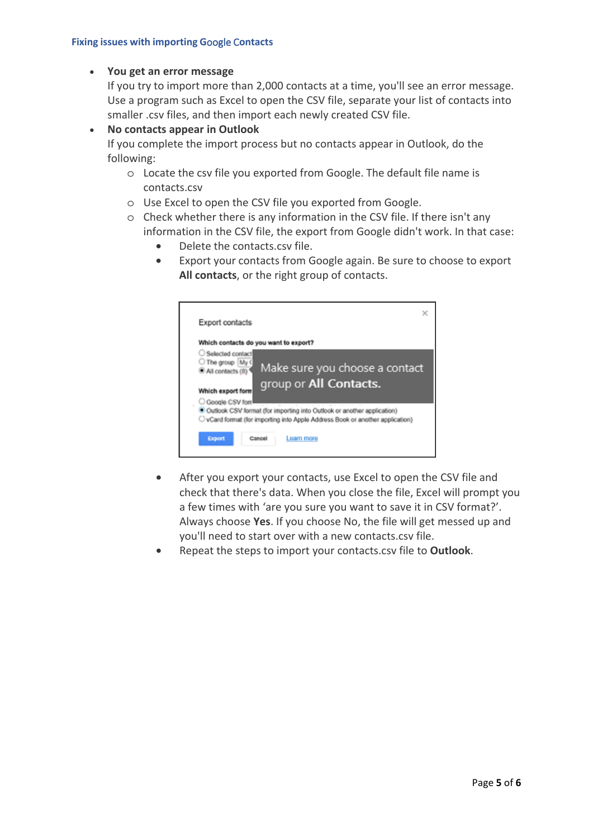### • **You get an error message**

If you try to import more than 2,000 contacts at a time, you'll see an error message. Use a program such as Excel to open the CSV file, separate your list of contacts into smaller .csv files, and then import each newly created CSV file.

• **No contacts appear in Outlook**

If you complete the import process but no contacts appear in Outlook, do the following:

- o Locate the csv file you exported from Google. The default file name is contacts.csv
- o Use Excel to open the CSV file you exported from Google.
- o Check whether there is any information in the CSV file. If there isn't any information in the CSV file, the export from Google didn't work. In that case:
	- Delete the contacts.csv file.
	- Export your contacts from Google again. Be sure to choose to export **All contacts**, or the right group of contacts.

|                                                                                                | $\times$                                                                                                                                                  |
|------------------------------------------------------------------------------------------------|-----------------------------------------------------------------------------------------------------------------------------------------------------------|
| Export contacts                                                                                |                                                                                                                                                           |
| Which contacts do you want to export?                                                          |                                                                                                                                                           |
| Selected contact<br>The group My (<br>All contacts (8)<br>Which export form<br>Google CSV form | Make sure you choose a contact<br>group or All Contacts.                                                                                                  |
|                                                                                                | · Outlook CSV format (for importing into Outlook or another application)<br>O vCard format (for importing into Apple Address Book or another application) |
| Export<br>Cancel                                                                               | Learn more                                                                                                                                                |
|                                                                                                |                                                                                                                                                           |

- After you export your contacts, use Excel to open the CSV file and check that there's data. When you close the file, Excel will prompt you a few times with 'are you sure you want to save it in CSV format?'. Always choose **Yes**. If you choose No, the file will get messed up and you'll need to start over with a new contacts.csv file.
- Repeat the steps to import your contacts.csv file to **Outlook**.